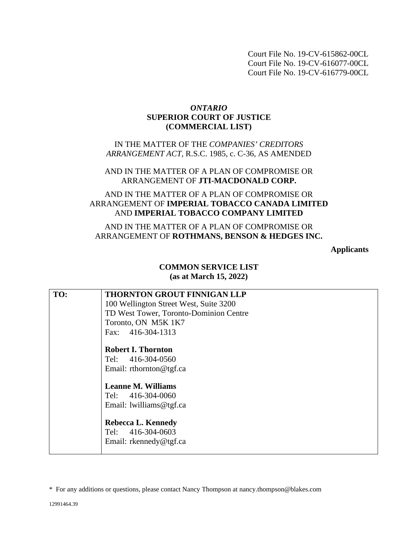Court File No. 19-CV-615862-00CL Court File No. 19-CV-616077-00CL Court File No. 19-CV-616779-00CL

## *ONTARIO* **SUPERIOR COURT OF JUSTICE (COMMERCIAL LIST)**

IN THE MATTER OF THE *COMPANIES' CREDITORS ARRANGEMENT ACT,* R.S.C. 1985, c. C-36, AS AMENDED

#### AND IN THE MATTER OF A PLAN OF COMPROMISE OR ARRANGEMENT OF **JTI-MACDONALD CORP.**

# AND IN THE MATTER OF A PLAN OF COMPROMISE OR ARRANGEMENT OF **IMPERIAL TOBACCO CANADA LIMITED**  AND **IMPERIAL TOBACCO COMPANY LIMITED**

AND IN THE MATTER OF A PLAN OF COMPROMISE OR ARRANGEMENT OF **ROTHMANS, BENSON & HEDGES INC.** 

**Applicants** 

## **COMMON SERVICE LIST (as at March 15, 2022)**

| TO: | <b>THORNTON GROUT FINNIGAN LLP</b><br>100 Wellington Street West, Suite 3200<br>TD West Tower, Toronto-Dominion Centre<br>Toronto, ON M5K 1K7<br>Fax: 416-304-1313 |
|-----|--------------------------------------------------------------------------------------------------------------------------------------------------------------------|
|     | <b>Robert I. Thornton</b><br>Tel: 416-304-0560<br>Email: rthornton@tgf.ca<br><b>Leanne M. Williams</b><br>Tel: 416-304-0060<br>Email: lwilliams@tgf.ca             |
|     | <b>Rebecca L. Kennedy</b><br>Tel: 416-304-0603<br>Email: rkennedy@tgf.ca                                                                                           |

<sup>\*</sup> For any additions or questions, please contact Nancy Thompson at nancy.thompson@blakes.com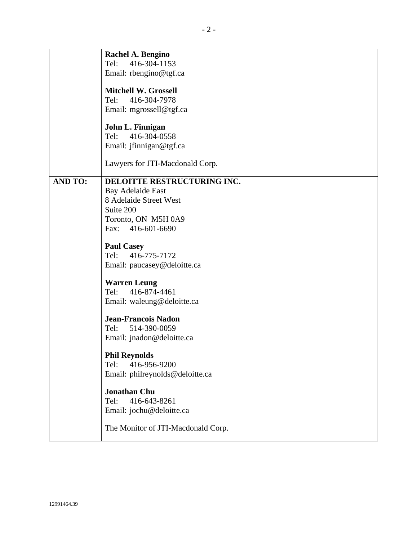|                | Rachel A. Bengino                  |
|----------------|------------------------------------|
|                | Tel:<br>416-304-1153               |
|                | Email: rbengino@tgf.ca             |
|                | <b>Mitchell W. Grossell</b>        |
|                | Tel: 416-304-7978                  |
|                | Email: mgrossell@tgf.ca            |
|                |                                    |
|                | John L. Finnigan                   |
|                | Tel: 416-304-0558                  |
|                | Email: jfinnigan@tgf.ca            |
|                |                                    |
|                | Lawyers for JTI-Macdonald Corp.    |
|                |                                    |
| <b>AND TO:</b> | DELOITTE RESTRUCTURING INC.        |
|                | <b>Bay Adelaide East</b>           |
|                | 8 Adelaide Street West             |
|                | Suite 200                          |
|                | Toronto, ON M5H 0A9                |
|                | Fax: 416-601-6690                  |
|                | <b>Paul Casey</b>                  |
|                | Tel: 416-775-7172                  |
|                | Email: paucasey@deloitte.ca        |
|                |                                    |
|                | <b>Warren Leung</b>                |
|                | 416-874-4461<br>Tel:               |
|                | Email: waleung@deloitte.ca         |
|                |                                    |
|                | <b>Jean-Francois Nadon</b>         |
|                | Tel: 514-390-0059                  |
|                | Email: jnadon@deloitte.ca          |
|                | <b>Phil Reynolds</b>               |
|                | 416-956-9200<br>Tel:               |
|                | Email: philreynolds@deloitte.ca    |
|                |                                    |
|                | <b>Jonathan Chu</b>                |
|                | 416-643-8261<br>Tel:               |
|                | Email: jochu@deloitte.ca           |
|                |                                    |
|                | The Monitor of JTI-Macdonald Corp. |
|                |                                    |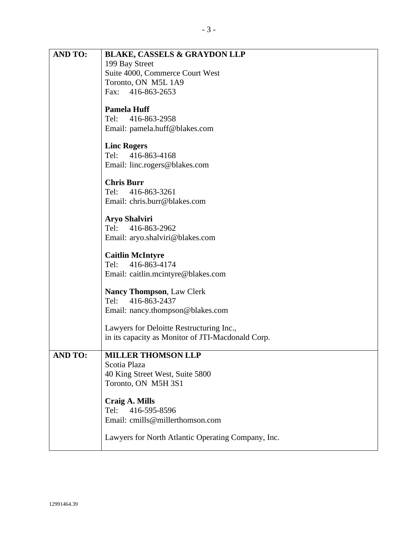| <b>AND TO:</b> | <b>BLAKE, CASSELS &amp; GRAYDON LLP</b>               |
|----------------|-------------------------------------------------------|
|                | 199 Bay Street                                        |
|                | Suite 4000, Commerce Court West                       |
|                | Toronto, ON M5L 1A9                                   |
|                | Fax: 416-863-2653                                     |
|                | <b>Pamela Huff</b>                                    |
|                | 416-863-2958<br>Tel:                                  |
|                | Email: pamela.huff@blakes.com                         |
|                |                                                       |
|                | <b>Linc Rogers</b>                                    |
|                | Tel: 416-863-4168                                     |
|                | Email: linc.rogers@blakes.com                         |
|                | <b>Chris Burr</b>                                     |
|                | Tel: 416-863-3261                                     |
|                | Email: chris.burr@blakes.com                          |
|                |                                                       |
|                | <b>Aryo Shalviri</b><br>Tel: 416-863-2962             |
|                |                                                       |
|                | Email: aryo.shalviri@blakes.com                       |
|                | <b>Caitlin McIntyre</b>                               |
|                | 416-863-4174<br>Tel:                                  |
|                | Email: caitlin.mcintyre@blakes.com                    |
|                |                                                       |
|                | <b>Nancy Thompson, Law Clerk</b><br>Tel: 416-863-2437 |
|                | Email: nancy.thompson@blakes.com                      |
|                |                                                       |
|                | Lawyers for Deloitte Restructuring Inc.,              |
|                | in its capacity as Monitor of JTI-Macdonald Corp.     |
| <b>AND TO:</b> | <b>MILLER THOMSON LLP</b>                             |
|                | Scotia Plaza                                          |
|                | 40 King Street West, Suite 5800                       |
|                | Toronto, ON M5H 3S1                                   |
|                |                                                       |
|                | <b>Craig A. Mills</b>                                 |
|                | 416-595-8596<br>Tel:                                  |
|                | Email: cmills@millerthomson.com                       |
|                | Lawyers for North Atlantic Operating Company, Inc.    |
|                |                                                       |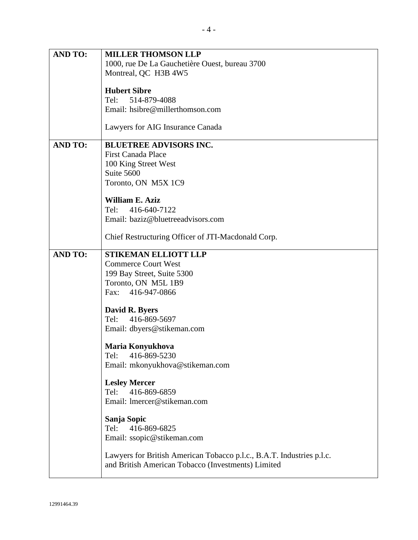| <b>AND TO:</b> | <b>MILLER THOMSON LLP</b>                                             |
|----------------|-----------------------------------------------------------------------|
|                | 1000, rue De La Gauchetière Ouest, bureau 3700                        |
|                | Montreal, QC H3B 4W5                                                  |
|                | <b>Hubert Sibre</b>                                                   |
|                | 514-879-4088<br>Tel:<br>Email: hsibre@millerthomson.com               |
|                |                                                                       |
|                | Lawyers for AIG Insurance Canada                                      |
| <b>AND TO:</b> | <b>BLUETREE ADVISORS INC.</b>                                         |
|                | <b>First Canada Place</b>                                             |
|                | 100 King Street West<br>Suite 5600                                    |
|                | Toronto, ON M5X 1C9                                                   |
|                | <b>William E. Aziz</b>                                                |
|                | 416-640-7122<br>Tel:                                                  |
|                | Email: baziz@bluetreeadvisors.com                                     |
|                | Chief Restructuring Officer of JTI-Macdonald Corp.                    |
| <b>AND TO:</b> | <b>STIKEMAN ELLIOTT LLP</b>                                           |
|                | <b>Commerce Court West</b><br>199 Bay Street, Suite 5300              |
|                | Toronto, ON M5L 1B9                                                   |
|                | 416-947-0866<br>Fax:                                                  |
|                | David R. Byers                                                        |
|                | Tel: 416-869-5697                                                     |
|                | Email: dbyers@stikeman.com                                            |
|                | Maria Konyukhova                                                      |
|                | 416-869-5230<br>Tel:                                                  |
|                | Email: mkonyukhova@stikeman.com                                       |
|                | <b>Lesley Mercer</b>                                                  |
|                | Tel:<br>416-869-6859                                                  |
|                | Email: Imercer@stikeman.com                                           |
|                | Sanja Sopic                                                           |
|                | Tel:<br>416-869-6825                                                  |
|                | Email: ssopic@stikeman.com                                            |
|                | Lawyers for British American Tobacco p.l.c., B.A.T. Industries p.l.c. |
|                | and British American Tobacco (Investments) Limited                    |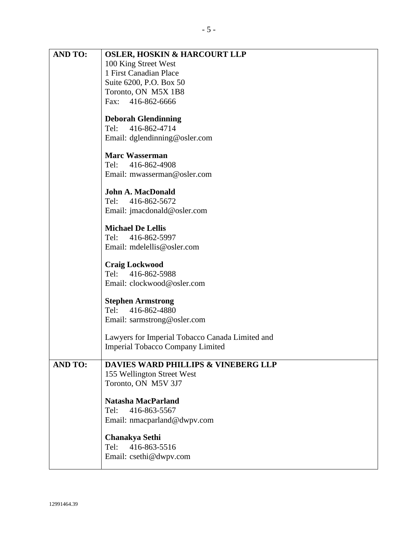| <b>AND TO:</b> | <b>OSLER, HOSKIN &amp; HARCOURT LLP</b>         |
|----------------|-------------------------------------------------|
|                | 100 King Street West                            |
|                | 1 First Canadian Place                          |
|                | Suite 6200, P.O. Box 50                         |
|                | Toronto, ON M5X 1B8                             |
|                | Fax: 416-862-6666                               |
|                | <b>Deborah Glendinning</b>                      |
|                | 416-862-4714<br>Tel:                            |
|                | Email: dglendinning@osler.com                   |
|                | <b>Marc Wasserman</b>                           |
|                | Tel: 416-862-4908                               |
|                | Email: mwasserman@osler.com                     |
|                | <b>John A. MacDonald</b>                        |
|                | 416-862-5672<br>Tel:                            |
|                | Email: jmacdonald@osler.com                     |
|                |                                                 |
|                | <b>Michael De Lellis</b>                        |
|                | 416-862-5997<br>Tel:                            |
|                | Email: mdelellis@osler.com                      |
|                | <b>Craig Lockwood</b>                           |
|                | Tel: 416-862-5988                               |
|                | Email: clockwood@osler.com                      |
|                | <b>Stephen Armstrong</b>                        |
|                | 416-862-4880<br>Tel:                            |
|                | Email: sarmstrong@osler.com                     |
|                | Lawyers for Imperial Tobacco Canada Limited and |
|                | <b>Imperial Tobacco Company Limited</b>         |
|                | <b>DAVIES WARD PHILLIPS &amp; VINEBERG LLP</b>  |
| <b>AND TO:</b> | 155 Wellington Street West                      |
|                | Toronto, ON M5V 3J7                             |
|                |                                                 |
|                | <b>Natasha MacParland</b>                       |
|                | 416-863-5567<br>Tel:                            |
|                | Email: nmacparland@dwpv.com                     |
|                | <b>Chanakya Sethi</b>                           |
|                | 416-863-5516<br>Tel:                            |
|                | Email: csethi@dwpv.com                          |
|                |                                                 |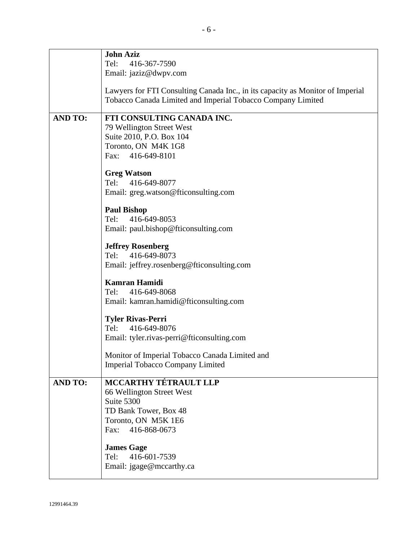|                | <b>John Aziz</b>                                                               |
|----------------|--------------------------------------------------------------------------------|
|                | Tel:<br>416-367-7590                                                           |
|                | Email: jaziz@dwpv.com                                                          |
|                |                                                                                |
|                | Lawyers for FTI Consulting Canada Inc., in its capacity as Monitor of Imperial |
|                | Tobacco Canada Limited and Imperial Tobacco Company Limited                    |
|                |                                                                                |
| <b>AND TO:</b> | FTI CONSULTING CANADA INC.                                                     |
|                | 79 Wellington Street West                                                      |
|                | Suite 2010, P.O. Box 104                                                       |
|                | Toronto, ON M4K 1G8                                                            |
|                | Fax: 416-649-8101                                                              |
|                |                                                                                |
|                | <b>Greg Watson</b>                                                             |
|                | Tel: 416-649-8077                                                              |
|                | Email: greg.watson@fticonsulting.com                                           |
|                |                                                                                |
|                | <b>Paul Bishop</b>                                                             |
|                | Tel:<br>416-649-8053                                                           |
|                | Email: paul.bishop@fticonsulting.com                                           |
|                |                                                                                |
|                | <b>Jeffrey Rosenberg</b>                                                       |
|                | Tel: 416-649-8073                                                              |
|                | Email: jeffrey.rosenberg@fticonsulting.com                                     |
|                |                                                                                |
|                | <b>Kamran Hamidi</b>                                                           |
|                | 416-649-8068<br>Tel:                                                           |
|                | Email: kamran.hamidi@fticonsulting.com                                         |
|                |                                                                                |
|                | <b>Tyler Rivas-Perri</b>                                                       |
|                | Tel: 416-649-8076                                                              |
|                | Email: tyler.rivas-perri@fticonsulting.com                                     |
|                | Monitor of Imperial Tobacco Canada Limited and                                 |
|                |                                                                                |
|                | <b>Imperial Tobacco Company Limited</b>                                        |
| <b>AND TO:</b> | <b>MCCARTHY TÉTRAULT LLP</b>                                                   |
|                | 66 Wellington Street West                                                      |
|                | Suite 5300                                                                     |
|                | TD Bank Tower, Box 48                                                          |
|                | Toronto, ON M5K 1E6                                                            |
|                | Fax:<br>416-868-0673                                                           |
|                |                                                                                |
|                | <b>James Gage</b>                                                              |
|                | 416-601-7539<br>Tel:                                                           |
|                | Email: jgage@mccarthy.ca                                                       |
|                |                                                                                |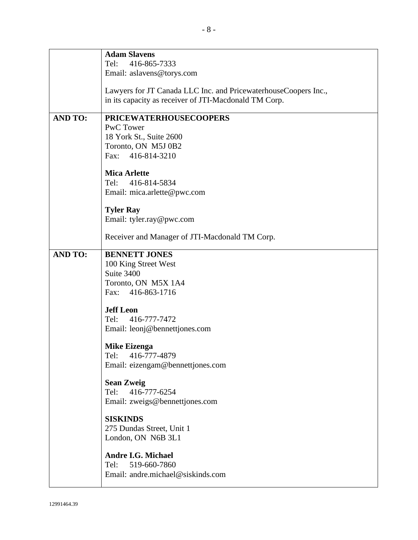|                | <b>Adam Slavens</b><br>416-865-7333<br>Tel:                     |
|----------------|-----------------------------------------------------------------|
|                | Email: aslavens@torys.com                                       |
|                | Lawyers for JT Canada LLC Inc. and PricewaterhouseCoopers Inc., |
|                | in its capacity as receiver of JTI-Macdonald TM Corp.           |
| <b>AND TO:</b> | <b>PRICEWATERHOUSECOOPERS</b>                                   |
|                | <b>PwC</b> Tower                                                |
|                | 18 York St., Suite 2600<br>Toronto, ON M5J 0B2                  |
|                | Fax: 416-814-3210                                               |
|                | <b>Mica Arlette</b>                                             |
|                | 416-814-5834<br>Tel:                                            |
|                | Email: mica.arlette@pwc.com                                     |
|                | <b>Tyler Ray</b>                                                |
|                | Email: tyler.ray@pwc.com                                        |
|                | Receiver and Manager of JTI-Macdonald TM Corp.                  |
| <b>AND TO:</b> | <b>BENNETT JONES</b>                                            |
|                | 100 King Street West<br>Suite 3400                              |
|                | Toronto, ON M5X 1A4                                             |
|                | Fax: 416-863-1716                                               |
|                | <b>Jeff Leon</b>                                                |
|                | 416-777-7472<br>Tel:                                            |
|                | Email: leonj@bennettjones.com                                   |
|                | <b>Mike Eizenga</b>                                             |
|                | Tel:<br>416-777-4879                                            |
|                | Email: eizengam@bennettjones.com                                |
|                | <b>Sean Zweig</b>                                               |
|                | Tel:<br>416-777-6254<br>Email: zweigs@bennettjones.com          |
|                |                                                                 |
|                | <b>SISKINDS</b><br>275 Dundas Street, Unit 1                    |
|                | London, ON N6B 3L1                                              |
|                | <b>Andre I.G. Michael</b>                                       |
|                | 519-660-7860<br>Tel:                                            |
|                | Email: andre.michael@siskinds.com                               |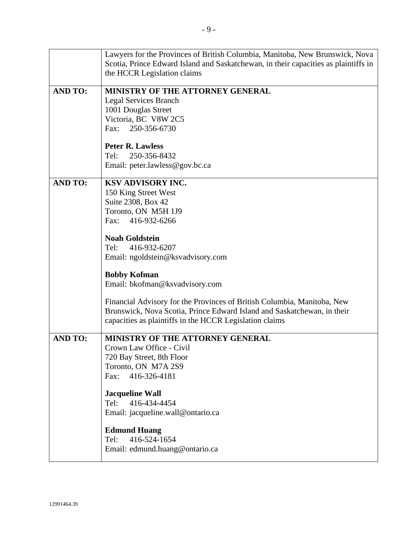|                | Lawyers for the Provinces of British Columbia, Manitoba, New Brunswick, Nova<br>Scotia, Prince Edward Island and Saskatchewan, in their capacities as plaintiffs in<br>the HCCR Legislation claims            |
|----------------|---------------------------------------------------------------------------------------------------------------------------------------------------------------------------------------------------------------|
| <b>AND TO:</b> | MINISTRY OF THE ATTORNEY GENERAL<br><b>Legal Services Branch</b><br>1001 Douglas Street<br>Victoria, BC V8W 2C5<br>Fax: 250-356-6730                                                                          |
|                | <b>Peter R. Lawless</b><br>250-356-8432<br>Tel:<br>Email: peter.lawless@gov.bc.ca                                                                                                                             |
| <b>AND TO:</b> | KSV ADVISORY INC.<br>150 King Street West<br>Suite 2308, Box 42<br>Toronto, ON M5H 1J9<br>Fax: 416-932-6266                                                                                                   |
|                | <b>Noah Goldstein</b><br>416-932-6207<br>Tel:<br>Email: ngoldstein@ksvadvisory.com                                                                                                                            |
|                | <b>Bobby Kofman</b><br>Email: bkofman@ksvadvisory.com                                                                                                                                                         |
|                | Financial Advisory for the Provinces of British Columbia, Manitoba, New<br>Brunswick, Nova Scotia, Prince Edward Island and Saskatchewan, in their<br>capacities as plaintiffs in the HCCR Legislation claims |
| <b>AND TO:</b> | MINISTRY OF THE ATTORNEY GENERAL<br>Crown Law Office - Civil<br>720 Bay Street, 8th Floor<br>Toronto, ON M7A 2S9<br>416-326-4181<br>Fax:                                                                      |
|                | <b>Jacqueline Wall</b><br>416-434-4454<br>Tel:<br>Email: jacqueline.wall@ontario.ca                                                                                                                           |
|                | <b>Edmund Huang</b><br>416-524-1654<br>Tel:<br>Email: edmund.huang@ontario.ca                                                                                                                                 |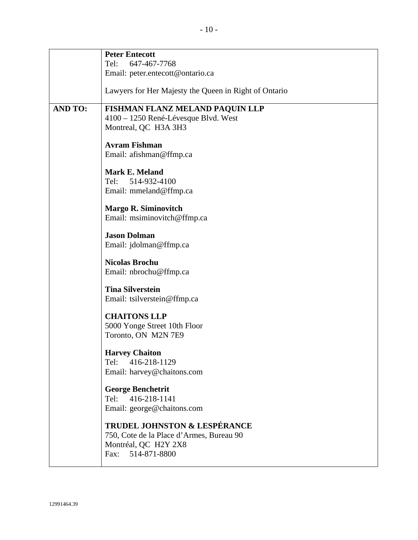|                | <b>Peter Entecott</b>                                 |
|----------------|-------------------------------------------------------|
|                | Tel: 647-467-7768                                     |
|                | Email: peter.entecott@ontario.ca                      |
|                | Lawyers for Her Majesty the Queen in Right of Ontario |
| <b>AND TO:</b> | FISHMAN FLANZ MELAND PAQUIN LLP                       |
|                | 4100 – 1250 René-Lévesque Blvd. West                  |
|                | Montreal, QC H3A 3H3                                  |
|                | <b>Avram Fishman</b>                                  |
|                | Email: afishman@ffmp.ca                               |
|                | <b>Mark E. Meland</b>                                 |
|                | Tel:<br>514-932-4100                                  |
|                | Email: mmeland@ffmp.ca                                |
|                | <b>Margo R. Siminovitch</b>                           |
|                | Email: msiminovitch@ffmp.ca                           |
|                |                                                       |
|                | <b>Jason Dolman</b><br>Email: jdolman@ffmp.ca         |
|                |                                                       |
|                | <b>Nicolas Brochu</b>                                 |
|                | Email: nbrochu@ffmp.ca                                |
|                | <b>Tina Silverstein</b>                               |
|                | Email: tsilverstein@ffmp.ca                           |
|                | <b>CHAITONS LLP</b>                                   |
|                | 5000 Yonge Street 10th Floor                          |
|                | Toronto, ON M2N 7E9                                   |
|                | <b>Harvey Chaiton</b>                                 |
|                | 416-218-1129<br>Tel:                                  |
|                | Email: harvey@chaitons.com                            |
|                | <b>George Benchetrit</b>                              |
|                | Tel: 416-218-1141                                     |
|                | Email: george@chaitons.com                            |
|                | TRUDEL JOHNSTON & LESPÉRANCE                          |
|                | 750, Cote de la Place d'Armes, Bureau 90              |
|                | Montréal, QC H2Y 2X8                                  |
|                | Fax:<br>514-871-8800                                  |
|                |                                                       |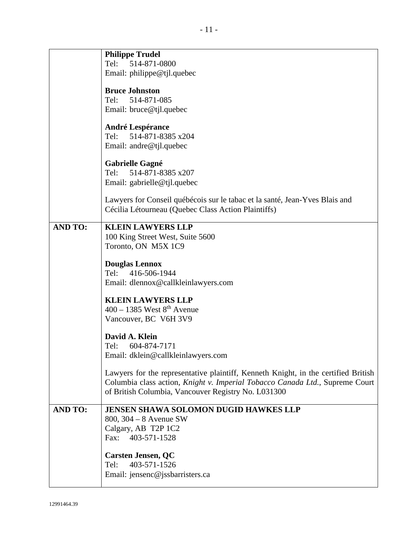|                | <b>Philippe Trudel</b>                                                                                                             |
|----------------|------------------------------------------------------------------------------------------------------------------------------------|
|                | Tel:<br>514-871-0800                                                                                                               |
|                | Email: philippe@tjl.quebec                                                                                                         |
|                | <b>Bruce Johnston</b>                                                                                                              |
|                | 514-871-085<br>Tel:                                                                                                                |
|                | Email: bruce@tjl.quebec                                                                                                            |
|                |                                                                                                                                    |
|                | <b>André Lespérance</b>                                                                                                            |
|                | 514-871-8385 x204<br>Tel:                                                                                                          |
|                | Email: andre@tjl.quebec                                                                                                            |
|                | <b>Gabrielle Gagné</b>                                                                                                             |
|                | Tel:<br>514-871-8385 x207                                                                                                          |
|                | Email: gabrielle@tjl.quebec                                                                                                        |
|                | Lawyers for Conseil québécois sur le tabac et la santé, Jean-Yves Blais and<br>Cécilia Létourneau (Quebec Class Action Plaintiffs) |
| <b>AND TO:</b> | <b>KLEIN LAWYERS LLP</b>                                                                                                           |
|                | 100 King Street West, Suite 5600                                                                                                   |
|                | Toronto, ON M5X 1C9                                                                                                                |
|                | <b>Douglas Lennox</b>                                                                                                              |
|                | Tel:<br>416-506-1944                                                                                                               |
|                | Email: dlennox@callkleinlawyers.com                                                                                                |
|                |                                                                                                                                    |
|                | <b>KLEIN LAWYERS LLP</b><br>$400 - 1385$ West $8th$ Avenue                                                                         |
|                | Vancouver, BC V6H 3V9                                                                                                              |
|                |                                                                                                                                    |
|                | David A. Klein                                                                                                                     |
|                | Tel:<br>604-874-7171                                                                                                               |
|                | Email: dklein@callkleinlawyers.com                                                                                                 |
|                | Lawyers for the representative plaintiff, Kenneth Knight, in the certified British                                                 |
|                | Columbia class action, Knight v. Imperial Tobacco Canada Ltd., Supreme Court                                                       |
|                | of British Columbia, Vancouver Registry No. L031300                                                                                |
| <b>AND TO:</b> | <b>JENSEN SHAWA SOLOMON DUGID HAWKES LLP</b>                                                                                       |
|                | 800, $304 - 8$ Avenue SW                                                                                                           |
|                | Calgary, AB T2P 1C2                                                                                                                |
|                | 403-571-1528<br>Fax:                                                                                                               |
|                | <b>Carsten Jensen, QC</b>                                                                                                          |
|                | 403-571-1526<br>Tel:                                                                                                               |
|                | Email: jensenc@jssbarristers.ca                                                                                                    |
|                |                                                                                                                                    |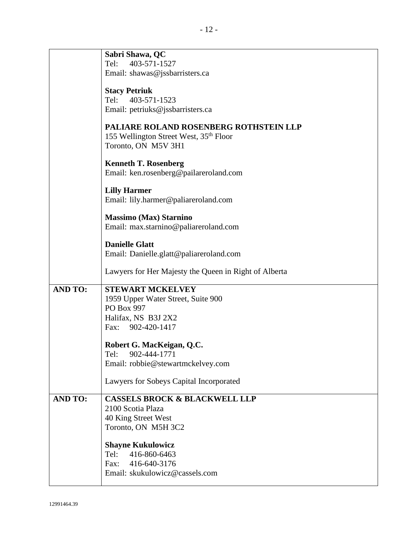|                | Sabri Shawa, QC<br>Tel:<br>403-571-1527<br>Email: shawas@jssbarristers.ca<br><b>Stacy Petriuk</b><br>403-571-1523<br>Tel:<br>Email: petriuks@jssbarristers.ca<br>PALIARE ROLAND ROSENBERG ROTHSTEIN LLP<br>155 Wellington Street West, 35 <sup>th</sup> Floor<br>Toronto, ON M5V 3H1<br><b>Kenneth T. Rosenberg</b><br>Email: ken.rosenberg@pailareroland.com<br><b>Lilly Harmer</b><br>Email: lily.harmer@paliareroland.com |
|----------------|------------------------------------------------------------------------------------------------------------------------------------------------------------------------------------------------------------------------------------------------------------------------------------------------------------------------------------------------------------------------------------------------------------------------------|
|                | <b>Massimo (Max) Starnino</b><br>Email: max.starnino@paliareroland.com<br><b>Danielle Glatt</b><br>Email: Danielle.glatt@paliareroland.com<br>Lawyers for Her Majesty the Queen in Right of Alberta                                                                                                                                                                                                                          |
| <b>AND TO:</b> | <b>STEWART MCKELVEY</b><br>1959 Upper Water Street, Suite 900<br>PO Box 997<br>Halifax, NS B3J 2X2<br>Fax: 902-420-1417<br>Robert G. MacKeigan, Q.C.<br>Tel:<br>902-444-1771<br>Email: robbie@stewartmckelvey.com<br>Lawyers for Sobeys Capital Incorporated                                                                                                                                                                 |
| <b>AND TO:</b> | <b>CASSELS BROCK &amp; BLACKWELL LLP</b><br>2100 Scotia Plaza<br>40 King Street West<br>Toronto, ON M5H 3C2<br><b>Shayne Kukulowicz</b><br>416-860-6463<br>Tel:<br>416-640-3176<br>Fax:<br>Email: skukulowicz@cassels.com                                                                                                                                                                                                    |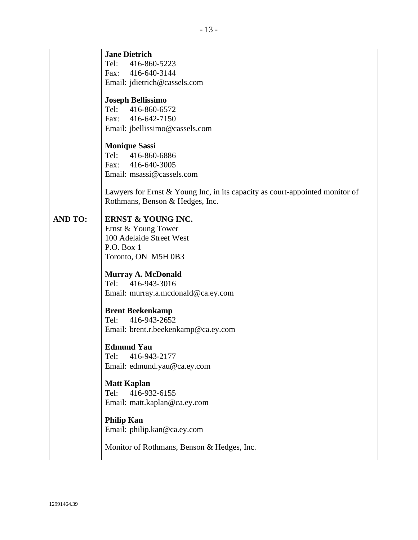|                | <b>Jane Dietrich</b>                                                                                                  |
|----------------|-----------------------------------------------------------------------------------------------------------------------|
|                | Tel:<br>416-860-5223                                                                                                  |
|                | Fax: 416-640-3144                                                                                                     |
|                | Email: jdietrich@cassels.com                                                                                          |
|                | <b>Joseph Bellissimo</b>                                                                                              |
|                | Tel: 416-860-6572                                                                                                     |
|                | Fax: 416-642-7150                                                                                                     |
|                | Email: jbellissimo@cassels.com                                                                                        |
|                |                                                                                                                       |
|                | <b>Monique Sassi</b>                                                                                                  |
|                | Tel: 416-860-6886                                                                                                     |
|                | Fax: 416-640-3005                                                                                                     |
|                | Email: msassi@cassels.com                                                                                             |
|                | Lawyers for Ernst & Young Inc, in its capacity as court-appointed monitor of<br>Rothmans, Benson & Hedges, Inc.       |
| <b>AND TO:</b> | <b>ERNST &amp; YOUNG INC.</b><br>Ernst & Young Tower<br>100 Adelaide Street West<br>P.O. Box 1<br>Toronto, ON M5H 0B3 |
|                | <b>Murray A. McDonald</b><br>416-943-3016<br>Tel:<br>Email: murray.a.mcdonald@ca.ey.com                               |
|                | <b>Brent Beekenkamp</b><br>Tel: 416-943-2652<br>Email: brent.r.beekenkamp@ca.ey.com                                   |
|                | <b>Edmund Yau</b><br>Tel:<br>416-943-2177<br>Email: edmund.yau@ca.ey.com                                              |
|                | <b>Matt Kaplan</b><br>416-932-6155<br>Tel:<br>Email: matt.kaplan@ca.ey.com                                            |
|                | <b>Philip Kan</b><br>Email: philip.kan@ca.ey.com                                                                      |
|                | Monitor of Rothmans, Benson & Hedges, Inc.                                                                            |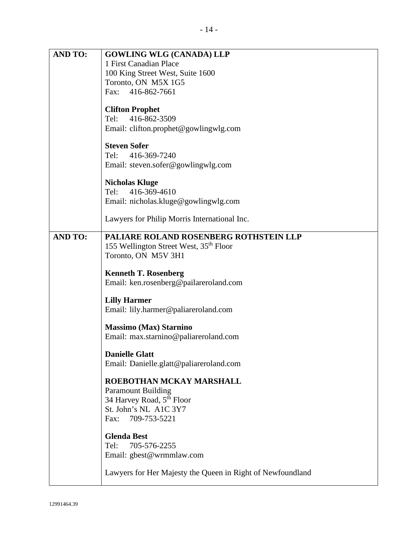| <b>AND TO:</b> | <b>GOWLING WLG (CANADA) LLP</b><br>1 First Canadian Place<br>100 King Street West, Suite 1600<br>Toronto, ON M5X 1G5<br>Fax: 416-862-7661       |
|----------------|-------------------------------------------------------------------------------------------------------------------------------------------------|
|                | <b>Clifton Prophet</b><br>416-862-3509<br>Tel:<br>Email: clifton.prophet@gowlingwlg.com                                                         |
|                | <b>Steven Sofer</b><br>416-369-7240<br>Tel:<br>Email: steven.sofer@gowlingwlg.com                                                               |
|                | <b>Nicholas Kluge</b><br>Tel: 416-369-4610<br>Email: nicholas.kluge@gowlingwlg.com                                                              |
|                | Lawyers for Philip Morris International Inc.                                                                                                    |
| <b>AND TO:</b> | PALIARE ROLAND ROSENBERG ROTHSTEIN LLP<br>155 Wellington Street West, 35 <sup>th</sup> Floor<br>Toronto, ON M5V 3H1                             |
|                | <b>Kenneth T. Rosenberg</b><br>Email: ken.rosenberg@pailareroland.com                                                                           |
|                | <b>Lilly Harmer</b><br>Email: lily.harmer@paliareroland.com                                                                                     |
|                | <b>Massimo (Max) Starnino</b><br>Email: max.starnino@paliareroland.com                                                                          |
|                | <b>Danielle Glatt</b><br>Email: Danielle.glatt@paliareroland.com                                                                                |
|                | ROEBOTHAN MCKAY MARSHALL<br><b>Paramount Building</b><br>34 Harvey Road, 5 <sup>th</sup> Floor<br>St. John's NL A1C 3Y7<br>Fax:<br>709-753-5221 |
|                | <b>Glenda Best</b><br>705-576-2255<br>Tel:<br>Email: gbest@wrmmlaw.com                                                                          |
|                | Lawyers for Her Majesty the Queen in Right of Newfoundland                                                                                      |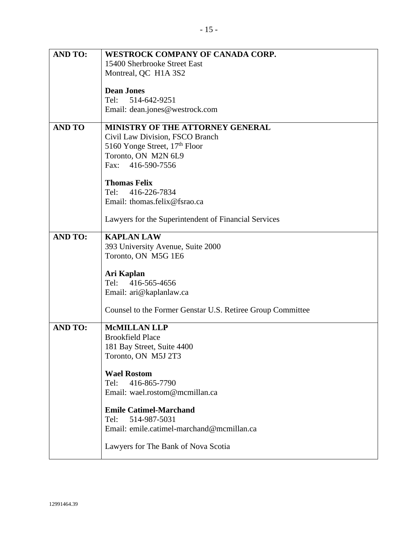| <b>AND TO:</b> | <b>WESTROCK COMPANY OF CANADA CORP.</b>                    |
|----------------|------------------------------------------------------------|
|                | 15400 Sherbrooke Street East                               |
|                | Montreal, QC H1A 3S2                                       |
|                |                                                            |
|                | <b>Dean Jones</b>                                          |
|                |                                                            |
|                | 514-642-9251<br>Tel:                                       |
|                | Email: dean.jones@westrock.com                             |
|                |                                                            |
| <b>AND TO</b>  | MINISTRY OF THE ATTORNEY GENERAL                           |
|                |                                                            |
|                | Civil Law Division, FSCO Branch                            |
|                | 5160 Yonge Street, 17 <sup>th</sup> Floor                  |
|                | Toronto, ON M2N 6L9                                        |
|                | 416-590-7556<br>Fax:                                       |
|                |                                                            |
|                | <b>Thomas Felix</b>                                        |
|                |                                                            |
|                | Tel:<br>416-226-7834                                       |
|                | Email: thomas.felix@fsrao.ca                               |
|                |                                                            |
|                | Lawyers for the Superintendent of Financial Services       |
|                |                                                            |
| <b>AND TO:</b> | <b>KAPLAN LAW</b>                                          |
|                |                                                            |
|                | 393 University Avenue, Suite 2000                          |
|                | Toronto, ON M5G 1E6                                        |
|                |                                                            |
|                | Ari Kaplan                                                 |
|                | Tel:<br>416-565-4656                                       |
|                | Email: ari@kaplanlaw.ca                                    |
|                |                                                            |
|                |                                                            |
|                | Counsel to the Former Genstar U.S. Retiree Group Committee |
|                |                                                            |
| <b>AND TO:</b> | <b>McMILLAN LLP</b>                                        |
|                | <b>Brookfield Place</b>                                    |
|                | 181 Bay Street, Suite 4400                                 |
|                | Toronto, ON M5J 2T3                                        |
|                |                                                            |
|                |                                                            |
|                | <b>Wael Rostom</b>                                         |
|                | 416-865-7790<br>Tel:                                       |
|                | Email: wael.rostom@mcmillan.ca                             |
|                |                                                            |
|                | <b>Emile Catimel-Marchand</b>                              |
|                |                                                            |
|                | 514-987-5031<br>Tel:                                       |
|                | Email: emile.catimel-marchand@mcmillan.ca                  |
|                |                                                            |
|                | Lawyers for The Bank of Nova Scotia                        |
|                |                                                            |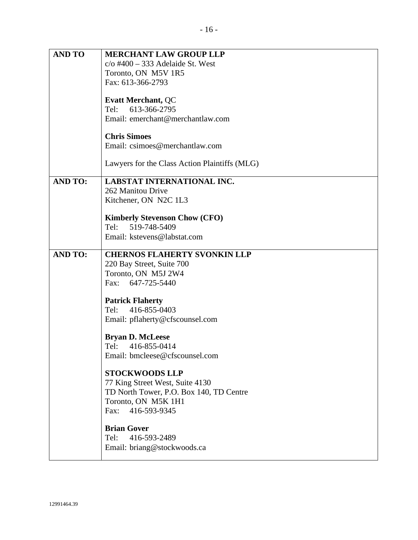| <b>AND TO</b>  | <b>MERCHANT LAW GROUP LLP</b>                                  |
|----------------|----------------------------------------------------------------|
|                | $c$ /o #400 - 333 Adelaide St. West                            |
|                | Toronto, ON M5V 1R5                                            |
|                | Fax: 613-366-2793                                              |
|                | <b>Evatt Merchant, QC</b>                                      |
|                | 613-366-2795<br>Tel:                                           |
|                | Email: emerchant@merchantlaw.com                               |
|                |                                                                |
|                | <b>Chris Simoes</b>                                            |
|                | Email: csimoes@merchantlaw.com                                 |
|                |                                                                |
|                | Lawyers for the Class Action Plaintiffs (MLG)                  |
| <b>AND TO:</b> | LABSTAT INTERNATIONAL INC.                                     |
|                | 262 Manitou Drive                                              |
|                | Kitchener, ON N2C 1L3                                          |
|                |                                                                |
|                | <b>Kimberly Stevenson Chow (CFO)</b>                           |
|                | Tel: 519-748-5409                                              |
|                | Email: kstevens@labstat.com                                    |
| <b>AND TO:</b> | <b>CHERNOS FLAHERTY SVONKIN LLP</b>                            |
|                | 220 Bay Street, Suite 700                                      |
|                | Toronto, ON M5J 2W4                                            |
|                | Fax: 647-725-5440                                              |
|                |                                                                |
|                | <b>Patrick Flaherty</b>                                        |
|                | 416-855-0403<br>Tel:                                           |
|                | Email: pflaherty@cfscounsel.com                                |
|                | <b>Bryan D. McLeese</b>                                        |
|                | Tel: 416-855-0414                                              |
|                | Email: bmcleese@cfscounsel.com                                 |
|                |                                                                |
|                | <b>STOCKWOODS LLP</b>                                          |
|                | 77 King Street West, Suite 4130                                |
|                | TD North Tower, P.O. Box 140, TD Centre<br>Toronto, ON M5K 1H1 |
|                | Fax: 416-593-9345                                              |
|                |                                                                |
|                | <b>Brian Gover</b>                                             |
|                | 416-593-2489<br>Tel:                                           |
|                | Email: briang@stockwoods.ca                                    |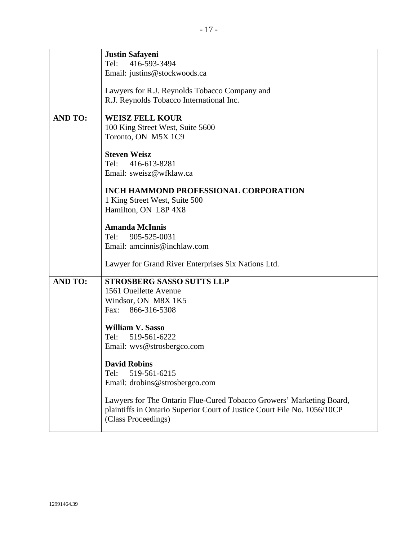|                | <b>Justin Safayeni</b>                                                   |
|----------------|--------------------------------------------------------------------------|
|                | Tel:<br>416-593-3494                                                     |
|                | Email: justins@stockwoods.ca                                             |
|                |                                                                          |
|                | Lawyers for R.J. Reynolds Tobacco Company and                            |
|                | R.J. Reynolds Tobacco International Inc.                                 |
| <b>AND TO:</b> | <b>WEISZ FELL KOUR</b>                                                   |
|                | 100 King Street West, Suite 5600                                         |
|                | Toronto, ON M5X 1C9                                                      |
|                |                                                                          |
|                | <b>Steven Weisz</b>                                                      |
|                | 416-613-8281<br>Tel:                                                     |
|                | Email: sweisz@wfklaw.ca                                                  |
|                |                                                                          |
|                | <b>INCH HAMMOND PROFESSIONAL CORPORATION</b>                             |
|                | 1 King Street West, Suite 500                                            |
|                | Hamilton, ON L8P 4X8                                                     |
|                | <b>Amanda McInnis</b>                                                    |
|                | 905-525-0031<br>Tel:                                                     |
|                | Email: amcinnis@inchlaw.com                                              |
|                |                                                                          |
|                | Lawyer for Grand River Enterprises Six Nations Ltd.                      |
|                |                                                                          |
| <b>AND TO:</b> | <b>STROSBERG SASSO SUTTS LLP</b>                                         |
|                | 1561 Ouellette Avenue                                                    |
|                | Windsor, ON M8X 1K5                                                      |
|                | 866-316-5308<br>Fax:                                                     |
|                | <b>William V. Sasso</b>                                                  |
|                | Tel: 519-561-6222                                                        |
|                | Email: wvs@strosbergco.com                                               |
|                |                                                                          |
|                | <b>David Robins</b>                                                      |
|                | 519-561-6215<br>Tel:                                                     |
|                | Email: drobins@strosbergco.com                                           |
|                |                                                                          |
|                | Lawyers for The Ontario Flue-Cured Tobacco Growers' Marketing Board,     |
|                | plaintiffs in Ontario Superior Court of Justice Court File No. 1056/10CP |
|                | (Class Proceedings)                                                      |
|                |                                                                          |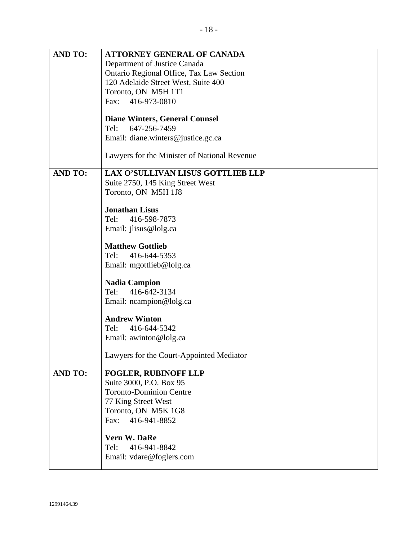|                | Email: diane.winters@justice.gc.ca                                                                  |
|----------------|-----------------------------------------------------------------------------------------------------|
|                | Lawyers for the Minister of National Revenue                                                        |
| <b>AND TO:</b> | <b>LAX O'SULLIVAN LISUS GOTTLIEB LLP</b><br>Suite 2750, 145 King Street West<br>Toronto, ON M5H 1J8 |
|                | <b>Jonathan Lisus</b>                                                                               |
|                | Tel: 416-598-7873                                                                                   |
|                | Email: jlisus@lolg.ca                                                                               |
|                | <b>Matthew Gottlieb</b>                                                                             |
|                | Tel: 416-644-5353                                                                                   |
|                | Email: mgottlieb@lolg.ca                                                                            |
|                | <b>Nadia Campion</b>                                                                                |
|                | Tel: 416-642-3134                                                                                   |
|                | Email: ncampion@lolg.ca                                                                             |
|                | <b>Andrew Winton</b>                                                                                |
|                | Tel: 416-644-5342                                                                                   |
|                | Email: awinton@lolg.ca                                                                              |
|                | Lawyers for the Court-Appointed Mediator                                                            |
| <b>AND TO:</b> | <b>FOGLER, RUBINOFF LLP</b>                                                                         |
|                | Suite 3000, P.O. Box 95                                                                             |
|                | <b>Toronto-Dominion Centre</b>                                                                      |
|                | 77 King Street West                                                                                 |
|                | Toronto, ON M5K 1G8<br>416-941-8852<br>Fax:                                                         |
|                |                                                                                                     |
|                | <b>Vern W. DaRe</b>                                                                                 |
|                | Tel: 416-941-8842                                                                                   |
|                | Email: vdare@foglers.com                                                                            |
|                |                                                                                                     |
|                |                                                                                                     |
| 12991464.39    |                                                                                                     |
|                |                                                                                                     |

**AND TO: ATTORNEY GENERAL OF CANADA** Department of Justice Canada

> Toronto, ON M5H 1T1 Fax: 416-973-0810

Tel: 647-256-7459

Ontario Regional Office, Tax Law Section

120 Adelaide Street West, Suite 400

**Diane Winters, General Counsel**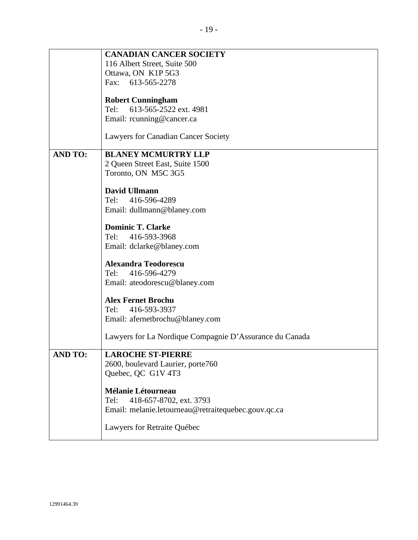|                | <b>CANADIAN CANCER SOCIETY</b>                          |
|----------------|---------------------------------------------------------|
|                |                                                         |
|                | 116 Albert Street, Suite 500                            |
|                | Ottawa, ON K1P 5G3                                      |
|                | Fax: 613-565-2278                                       |
|                | <b>Robert Cunningham</b>                                |
|                | 613-565-2522 ext. 4981<br>Tel:                          |
|                | Email: rcunning@cancer.ca                               |
|                |                                                         |
|                | Lawyers for Canadian Cancer Society                     |
| <b>AND TO:</b> | <b>BLANEY MCMURTRY LLP</b>                              |
|                | 2 Queen Street East, Suite 1500                         |
|                | Toronto, ON M5C 3G5                                     |
|                |                                                         |
|                | <b>David Ullmann</b>                                    |
|                | 416-596-4289<br>Tel:                                    |
|                | Email: dullmann@blaney.com                              |
|                |                                                         |
|                | <b>Dominic T. Clarke</b>                                |
|                | Tel:<br>416-593-3968                                    |
|                | Email: dclarke@blaney.com                               |
|                | <b>Alexandra Teodorescu</b>                             |
|                |                                                         |
|                | 416-596-4279<br>Tel:                                    |
|                | Email: ateodorescu@blaney.com                           |
|                | <b>Alex Fernet Brochu</b>                               |
|                | Tel:<br>416-593-3937                                    |
|                | Email: afernetbrochu@blaney.com                         |
|                |                                                         |
|                | Lawyers for La Nordique Compagnie D'Assurance du Canada |
|                |                                                         |
| <b>AND TO:</b> | <b>LAROCHE ST-PIERRE</b>                                |
|                | 2600, boulevard Laurier, porte760                       |
|                | Quebec, QC G1V 4T3                                      |
|                | <b>Mélanie Létourneau</b>                               |
|                | 418-657-8702, ext. 3793<br>Tel:                         |
|                | Email: melanie.letourneau@retraitequebec.gouv.qc.ca     |
|                |                                                         |
|                | Lawyers for Retraite Québec                             |
|                |                                                         |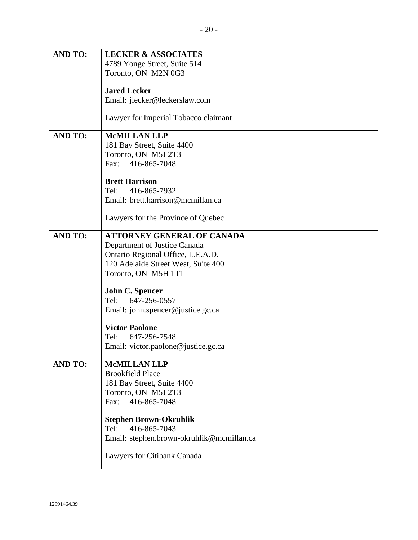| <b>AND TO:</b> | <b>LECKER &amp; ASSOCIATES</b>            |
|----------------|-------------------------------------------|
|                | 4789 Yonge Street, Suite 514              |
|                | Toronto, ON M2N 0G3                       |
|                |                                           |
|                | <b>Jared Lecker</b>                       |
|                | Email: jlecker@leckerslaw.com             |
|                |                                           |
|                | Lawyer for Imperial Tobacco claimant      |
|                |                                           |
| <b>AND TO:</b> | <b>McMILLAN LLP</b>                       |
|                | 181 Bay Street, Suite 4400                |
|                | Toronto, ON M5J 2T3                       |
|                | Fax: 416-865-7048                         |
|                |                                           |
|                | <b>Brett Harrison</b>                     |
|                | 416-865-7932<br>Tel:                      |
|                | Email: brett.harrison@mcmillan.ca         |
|                |                                           |
|                | Lawyers for the Province of Quebec        |
| <b>AND TO:</b> | <b>ATTORNEY GENERAL OF CANADA</b>         |
|                | Department of Justice Canada              |
|                | Ontario Regional Office, L.E.A.D.         |
|                | 120 Adelaide Street West, Suite 400       |
|                |                                           |
|                | Toronto, ON M5H 1T1                       |
|                | <b>John C. Spencer</b>                    |
|                | 647-256-0557<br>Tel:                      |
|                |                                           |
|                | Email: john.spencer@justice.gc.ca         |
|                | <b>Victor Paolone</b>                     |
|                | Tel:<br>647-256-7548                      |
|                | Email: victor.paolone@justice.gc.ca       |
|                |                                           |
| <b>AND TO:</b> | <b>McMILLAN LLP</b>                       |
|                | <b>Brookfield Place</b>                   |
|                | 181 Bay Street, Suite 4400                |
|                | Toronto, ON M5J 2T3                       |
|                | Fax: 416-865-7048                         |
|                |                                           |
|                | <b>Stephen Brown-Okruhlik</b>             |
|                | 416-865-7043<br>Tel:                      |
|                | Email: stephen.brown-okruhlik@mcmillan.ca |
|                |                                           |
|                | Lawyers for Citibank Canada               |
|                |                                           |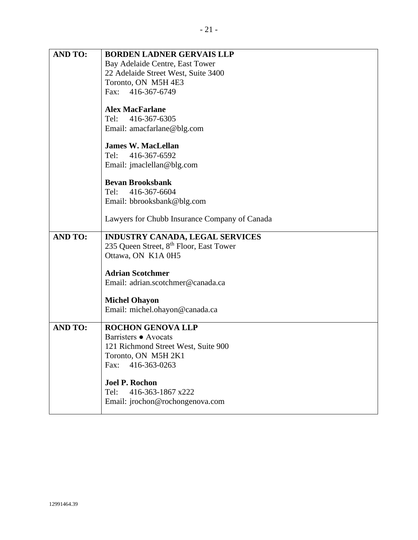| <b>AND TO:</b> | <b>BORDEN LADNER GERVAIS LLP</b>                    |
|----------------|-----------------------------------------------------|
|                | Bay Adelaide Centre, East Tower                     |
|                | 22 Adelaide Street West, Suite 3400                 |
|                | Toronto, ON M5H 4E3                                 |
|                | Fax: 416-367-6749                                   |
|                | <b>Alex MacFarlane</b>                              |
|                | Tel:<br>416-367-6305                                |
|                | Email: amacfarlane@blg.com                          |
|                | <b>James W. MacLellan</b>                           |
|                | Tel:<br>416-367-6592                                |
|                | Email: jmaclellan@blg.com                           |
|                | <b>Bevan Brooksbank</b>                             |
|                | 416-367-6604<br>Tel:                                |
|                | Email: bbrooksbank@blg.com                          |
|                | Lawyers for Chubb Insurance Company of Canada       |
| <b>AND TO:</b> | <b>INDUSTRY CANADA, LEGAL SERVICES</b>              |
|                | 235 Queen Street, 8 <sup>th</sup> Floor, East Tower |
|                | Ottawa, ON K1A 0H5                                  |
|                | <b>Adrian Scotchmer</b>                             |
|                | Email: adrian.scotchmer@canada.ca                   |
|                | <b>Michel Ohayon</b>                                |
|                | Email: michel.ohayon@canada.ca                      |
| <b>AND TO:</b> | <b>ROCHON GENOVA LLP</b>                            |
|                | Barristers • Avocats                                |
|                | 121 Richmond Street West, Suite 900                 |
|                | Toronto, ON M5H 2K1                                 |
|                | 416-363-0263<br>Fax:                                |
|                | <b>Joel P. Rochon</b>                               |
|                | 416-363-1867 x222<br>Tel:                           |
|                | Email: jrochon@rochongenova.com                     |
|                |                                                     |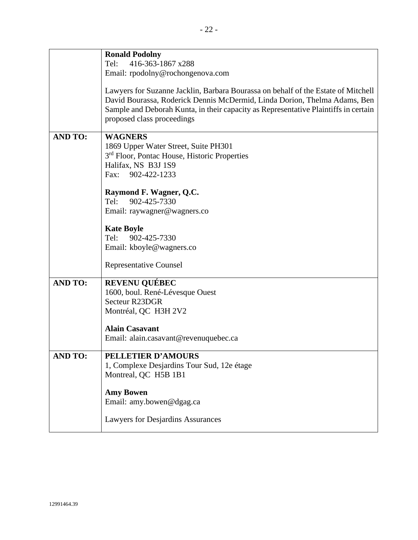| 416-363-1867 x288<br>Tel:<br>Email: rpodolny@rochongenova.com                                                                                                                                                                                                                       |  |
|-------------------------------------------------------------------------------------------------------------------------------------------------------------------------------------------------------------------------------------------------------------------------------------|--|
|                                                                                                                                                                                                                                                                                     |  |
|                                                                                                                                                                                                                                                                                     |  |
| Lawyers for Suzanne Jacklin, Barbara Bourassa on behalf of the Estate of Mitchell<br>David Bourassa, Roderick Dennis McDermid, Linda Dorion, Thelma Adams, Ben<br>Sample and Deborah Kunta, in their capacity as Representative Plaintiffs in certain<br>proposed class proceedings |  |
| <b>AND TO:</b><br><b>WAGNERS</b>                                                                                                                                                                                                                                                    |  |
| 1869 Upper Water Street, Suite PH301<br>3 <sup>rd</sup> Floor, Pontac House, Historic Properties<br>Halifax, NS B3J 1S9<br>Fax: 902-422-1233                                                                                                                                        |  |
|                                                                                                                                                                                                                                                                                     |  |
| Raymond F. Wagner, Q.C.<br>902-425-7330<br>Tel:                                                                                                                                                                                                                                     |  |
| Email: raywagner@wagners.co                                                                                                                                                                                                                                                         |  |
|                                                                                                                                                                                                                                                                                     |  |
| <b>Kate Boyle</b>                                                                                                                                                                                                                                                                   |  |
| Tel:<br>902-425-7330                                                                                                                                                                                                                                                                |  |
| Email: kboyle@wagners.co                                                                                                                                                                                                                                                            |  |
| <b>Representative Counsel</b>                                                                                                                                                                                                                                                       |  |
| <b>AND TO:</b><br><b>REVENU QUÉBEC</b>                                                                                                                                                                                                                                              |  |
| 1600, boul. René-Lévesque Ouest                                                                                                                                                                                                                                                     |  |
| Secteur R23DGR                                                                                                                                                                                                                                                                      |  |
| Montréal, QC H3H 2V2                                                                                                                                                                                                                                                                |  |
| <b>Alain Casavant</b>                                                                                                                                                                                                                                                               |  |
| Email: alain.casavant@revenuquebec.ca                                                                                                                                                                                                                                               |  |
| PELLETIER D'AMOURS<br><b>AND TO:</b>                                                                                                                                                                                                                                                |  |
| 1, Complexe Desjardins Tour Sud, 12e étage                                                                                                                                                                                                                                          |  |
| Montreal, QC H5B 1B1                                                                                                                                                                                                                                                                |  |
|                                                                                                                                                                                                                                                                                     |  |
| <b>Amy Bowen</b><br>Email: amy.bowen@dgag.ca                                                                                                                                                                                                                                        |  |
|                                                                                                                                                                                                                                                                                     |  |
| Lawyers for Desjardins Assurances                                                                                                                                                                                                                                                   |  |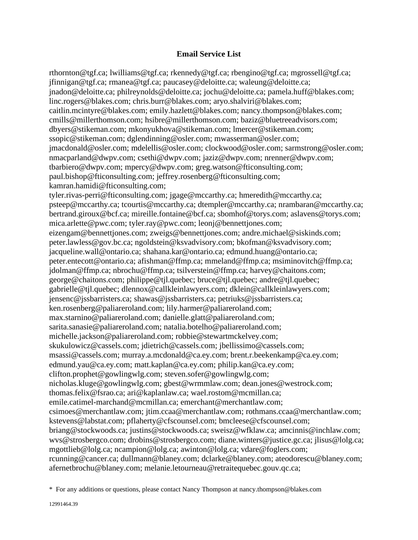## **Email Service List**

rthornton@tgf.ca; lwilliams@tgf.ca; rkennedy@tgf.ca; rbengino@tgf.ca; mgrossell@tgf.ca; jfinnigan@tgf.ca; rmanea@tgf.ca; paucasey@deloitte.ca; waleung@deloitte.ca; jnadon@deloitte.ca; philreynolds@deloitte.ca; jochu@deloitte.ca; pamela.huff@blakes.com; linc.rogers@blakes.com; chris.burr@blakes.com; aryo.shalviri@blakes.com; caitlin.mcintyre@blakes.com; emily.hazlett@blakes.com; nancy.thompson@blakes.com; cmills@millerthomson.com; hsibre@millerthomson.com; baziz@bluetreeadvisors.com; dbyers@stikeman.com; mkonyukhova@stikeman.com; lmercer@stikeman.com; ssopic@stikeman.com; dglendinning@osler.com; mwasserman@osler.com; jmacdonald@osler.com; mdelellis@osler.com; clockwood@osler.com; sarmstrong@osler.com; nmacparland@dwpv.com; csethi@dwpv.com; jaziz@dwpv.com; nrenner@dwpv.com; tbarbiero@dwpv.com; mpercy@dwpv.com; greg.watson@fticonsulting.com; paul.bishop@fticonsulting.com; jeffrey.rosenberg@fticonsulting.com; kamran.hamidi@fticonsulting.com; tyler.rivas-perri@fticonsulting.com; jgage@mccarthy.ca; hmeredith@mccarthy.ca; psteep@mccarthy.ca; tcourtis@mccarthy.ca; dtempler@mccarthy.ca; nrambaran@mccarthy.ca; bertrand.giroux@bcf.ca; mireille.fontaine@bcf.ca; sbomhof@torys.com; aslavens@torys.com; mica.arlette@pwc.com; tyler.ray@pwc.com; leonj@bennettjones.com; eizengam@bennettjones.com; zweigs@bennettjones.com; andre.michael@siskinds.com; peter.lawless@gov.bc.ca; ngoldstein@ksvadvisory.com; bkofman@ksvadvisory.com; jacqueline.wall@ontario.ca; shahana.kar@ontario.ca; edmund.huang@ontario.ca; peter.entecott@ontario.ca; afishman@ffmp.ca; mmeland@ffmp.ca; msiminovitch@ffmp.ca; jdolman@ffmp.ca; nbrochu@ffmp.ca; tsilverstein@ffmp.ca; harvey@chaitons.com; george@chaitons.com; philippe@tjl.quebec; bruce@tjl.quebec; andre@tjl.quebec; gabrielle@tjl.quebec; dlennox@callkleinlawyers.com; dklein@callkleinlawyers.com; jensenc@jssbarristers.ca; shawas@jssbarristers.ca; petriuks@jssbarristers.ca; ken.rosenberg@paliareroland.com; lily.harmer@paliareroland.com; max.starnino@paliareroland.com; danielle.glatt@paliareroland.com; sarita.sanasie@paliareroland.com; natalia.botelho@paliareroland.com; michelle.jackson@paliareroland.com; robbie@stewartmckelvey.com; skukulowicz@cassels.com; jdietrich@cassels.com; jbellissimo@cassels.com; msassi@cassels.com; murray.a.mcdonald@ca.ey.com; brent.r.beekenkamp@ca.ey.com; edmund.yau@ca.ey.com; matt.kaplan@ca.ey.com; philip.kan@ca.ey.com; clifton.prophet@gowlingwlg.com; steven.sofer@gowlingwlg.com; nicholas.kluge@gowlingwlg.com; gbest@wrmmlaw.com; dean.jones@westrock.com; thomas.felix@fsrao.ca; ari@kaplanlaw.ca; wael.rostom@mcmillan.ca; emile.catimel-marchand@mcmillan.ca; emerchant@merchantlaw.com; csimoes@merchantlaw.com; jtim.ccaa@merchantlaw.com; rothmans.ccaa@merchantlaw.com; kstevens@labstat.com; pflaherty@cfscounsel.com; bmcleese@cfscounsel.com; briang@stockwoods.ca; justins@stockwoods.ca; sweisz@wfklaw.ca; amcinnis@inchlaw.com; wvs@strosbergco.com; drobins@strosbergco.com; diane.winters@justice.gc.ca; jlisus@lolg.ca; mgottlieb@lolg.ca; ncampion@lolg.ca; awinton@lolg.ca; vdare@foglers.com; rcunning@cancer.ca; dullmann@blaney.com; dclarke@blaney.com; ateodorescu@blaney.com; afernetbrochu@blaney.com; melanie.letourneau@retraitequebec.gouv.qc.ca;

<sup>\*</sup> For any additions or questions, please contact Nancy Thompson at nancy.thompson@blakes.com